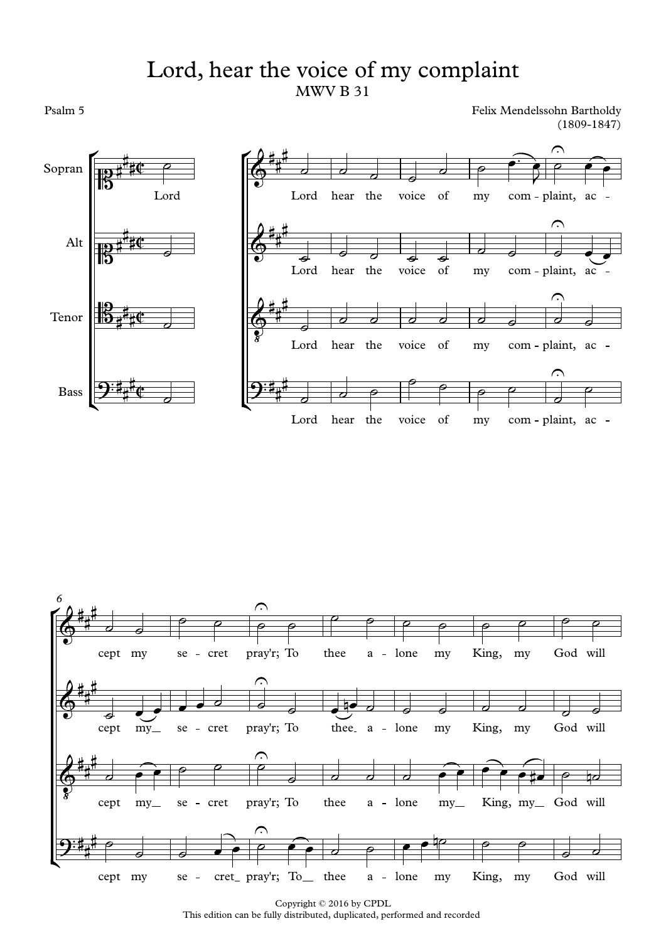## MWV B 31 Lord, hear the voice of my complaint

Psalm 5

Felix Mendelssohn Bartholdy (1809-1847)





Copyright © 2016 by CPDL This edition can be fully distributed, duplicated, performed and recorded